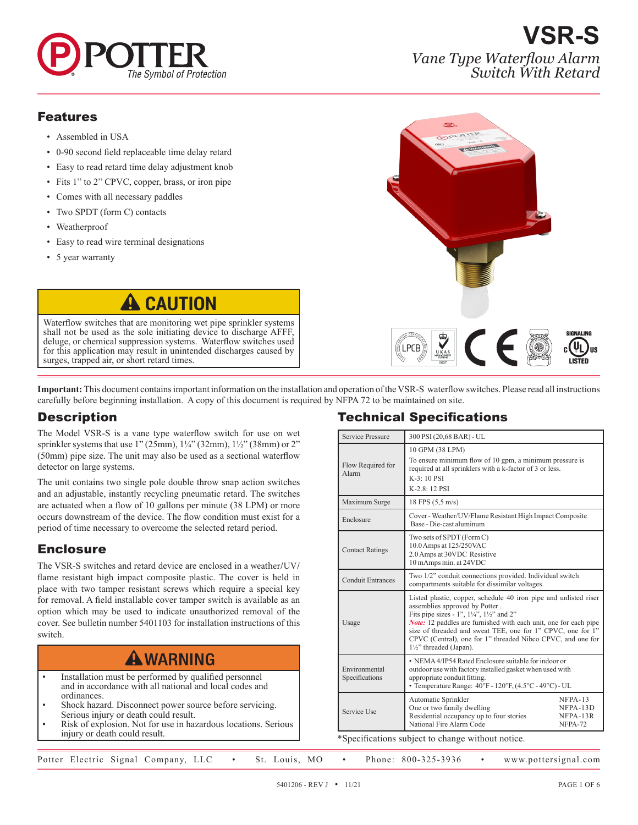

**VSR-S** *Vane Type Waterflow Alarm Switch With Retard*

#### Features

- Assembled in USA
- 0-90 second field replaceable time delay retard
- Easy to read retard time delay adjustment knob
- Fits 1" to 2" CPVC, copper, brass, or iron pipe
- Comes with all necessary paddles
- Two SPDT (form C) contacts
- Weatherproof
- Easy to read wire terminal designations
- 5 year warranty

# **CAUTION**

Waterflow switches that are monitoring wet pipe sprinkler systems shall not be used as the sole initiating device to discharge AFFF, deluge, or chemical suppression systems. Waterflow switches used for this application may result in unintended discharges caused by surges, trapped air, or short retard times.



**Important:** This document contains important information on the installation and operation of the VSR-S waterflow switches. Please read all instructions carefully before beginning installation. A copy of this document is required by NFPA 72 to be maintained on site.

## **Description**

The Model VSR-S is a vane type waterflow switch for use on wet sprinkler systems that use 1" (25mm), 1¼" (32mm), 1½" (38mm) or 2" (50mm) pipe size. The unit may also be used as a sectional waterflow detector on large systems.

The unit contains two single pole double throw snap action switches and an adjustable, instantly recycling pneumatic retard. The switches are actuated when a flow of 10 gallons per minute (38 LPM) or more occurs downstream of the device. The flow condition must exist for a period of time necessary to overcome the selected retard period.

## **Enclosure**

The VSR-S switches and retard device are enclosed in a weather/UV/ flame resistant high impact composite plastic. The cover is held in place with two tamper resistant screws which require a special key for removal. A field installable cover tamper switch is available as an option which may be used to indicate unauthorized removal of the cover. See bulletin number 5401103 for installation instructions of this switch.

# **A WARNING**

- Installation must be performed by qualified personnel and in accordance with all national and local codes and ordinances.
- Shock hazard. Disconnect power source before servicing. Serious injury or death could result.
- Risk of explosion. Not for use in hazardous locations. Serious injury or death could result.

## Technical Specifications

| Service Pressure                | 300 PSI (20,68 BAR) - UL                                                                                                                                                                                                                                                                                                                                                                                  |  |  |
|---------------------------------|-----------------------------------------------------------------------------------------------------------------------------------------------------------------------------------------------------------------------------------------------------------------------------------------------------------------------------------------------------------------------------------------------------------|--|--|
| Flow Required for<br>Alarm      | 10 GPM (38 LPM)<br>To ensure minimum flow of 10 gpm, a minimum pressure is<br>required at all sprinklers with a k-factor of 3 or less.<br>$K-3:10$ PSI<br>K-2.8: 12 PSI                                                                                                                                                                                                                                   |  |  |
| Maximum Surge                   | 18 FPS (5,5 m/s)                                                                                                                                                                                                                                                                                                                                                                                          |  |  |
| Enclosure                       | Cover - Weather/UV/Flame Resistant High Impact Composite<br>Base - Die-cast aluminum                                                                                                                                                                                                                                                                                                                      |  |  |
| <b>Contact Ratings</b>          | Two sets of SPDT (Form C)<br>10.0 Amps at 125/250VAC<br>2.0 Amps at 30VDC Resistive<br>10 mAmps min. at 24VDC                                                                                                                                                                                                                                                                                             |  |  |
| <b>Conduit Entrances</b>        | Two 1/2" conduit connections provided. Individual switch<br>compartments suitable for dissimilar voltages.                                                                                                                                                                                                                                                                                                |  |  |
| Usage                           | Listed plastic, copper, schedule 40 iron pipe and unlisted riser<br>assemblies approved by Potter.<br>Fits pipe sizes - 1", $1\frac{1}{4}$ ", $1\frac{1}{2}$ " and 2"<br><b>Note:</b> 12 paddles are furnished with each unit, one for each pipe<br>size of threaded and sweat TEE, one for 1" CPVC, one for 1"<br>CPVC (Central), one for 1" threaded Nibco CPVC, and one for<br>11/2" threaded (Japan). |  |  |
| Environmental<br>Specifications | • NEMA 4/IP54 Rated Enclosure suitable for indoor or<br>outdoor use with factory installed gasket when used with<br>appropriate conduit fitting.<br>• Temperature Range: $40^{\circ}$ F - 120 $^{\circ}$ F, (4.5 $^{\circ}$ C - 49 $^{\circ}$ C) - UL                                                                                                                                                     |  |  |
| Service Use                     | $NFPA-13$<br>Automatic Sprinkler<br>One or two family dwelling<br>NFPA-13D<br>Residential occupancy up to four stories<br>NFPA-13R<br>National Fire Alarm Code<br>NFPA-72                                                                                                                                                                                                                                 |  |  |

Specifications subject to change without notice.

Potter Electric Signal Company, LLC • St. Louis, MO • Phone: 800-325-3936 • www.pottersignal.com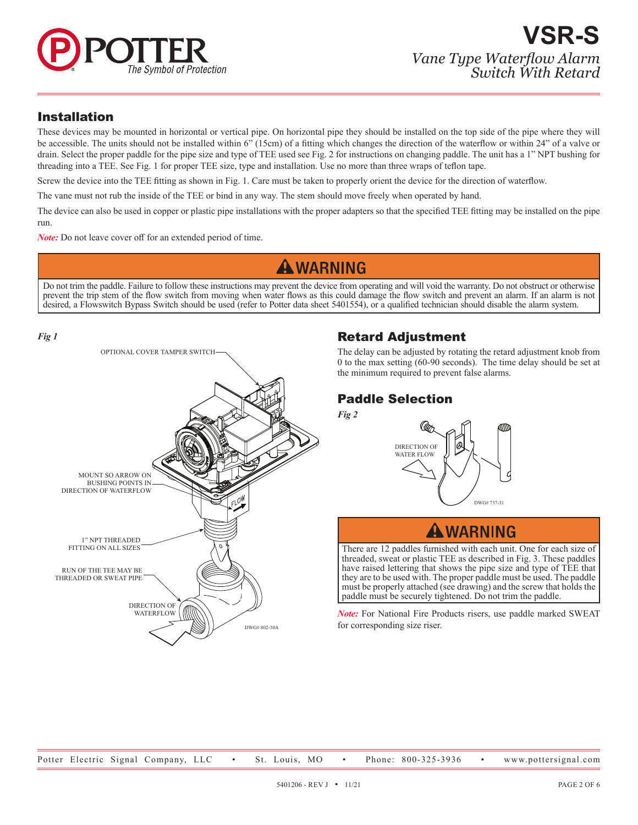

## Installation

These devices may be mounted in horizontal or vertical pipe. On horizontal pipe they should be installed on the top side of the pipe where they will be accessible. The units should not be installed within 6" (15cm) of a fitting which changes the direction of the waterflow or within 24" of a valve or drain. Select the proper paddle for the pipe size and type of TEE used see Fig. 2 for instructions on changing paddle. The unit has a 1" NPT bushing for threading into a TEE. See Fig. 1 for proper TEE size, type and installation. Use no more than three wraps of teflon tape.

Screw the device into the TEE fitting as shown in Fig. 1. Care must be taken to properly orient the device for the direction of waterflow.

The vane must not rub the inside of the TEE or bind in any way. The stem should move freely when operated by hand.

The device can also be used in copper or plastic pipe installations with the proper adapters so that the specified TEE fitting may be installed on the pipe run.

*Note:* Do not leave cover off for an extended period of time.

## **A WARNING**

Do not trim the paddle. Failure to follow these instructions may prevent the device from operating and will void the warranty. Do not obstruct or otherwise prevent the trip stem of the flow switch from moving when water flows as this could damage the flow switch and prevent an alarm. If an alarm is not desired, a Flowswitch Bypass Switch should be used (refer to Potter data sheet 5401554), or a qualified technician should disable the alarm system.



## Retard Adjustment

The delay can be adjusted by rotating the retard adjustment knob from 0 to the max setting (60-90 seconds). The time delay should be set at the minimum required to prevent false alarms.

## Paddle Selection

*Fig 2*



## **A WARNING**

There are 12 paddles furnished with each unit. One for each size of threaded, sweat or plastic TEE as described in Fig. 3. These paddles have raised lettering that shows the pipe size and type of TEE that they are to be used with. The proper paddle must be used. The paddle must be properly attached (see drawing) and the screw that holds the paddle must be securely tightened. Do not trim the paddle.

*Note:* For National Fire Products risers, use paddle marked SWEAT for corresponding size riser.

Potter Electric Signal Company, LLC • St. Louis, MO • Phone: 800-325-3936 • www.pottersignal.com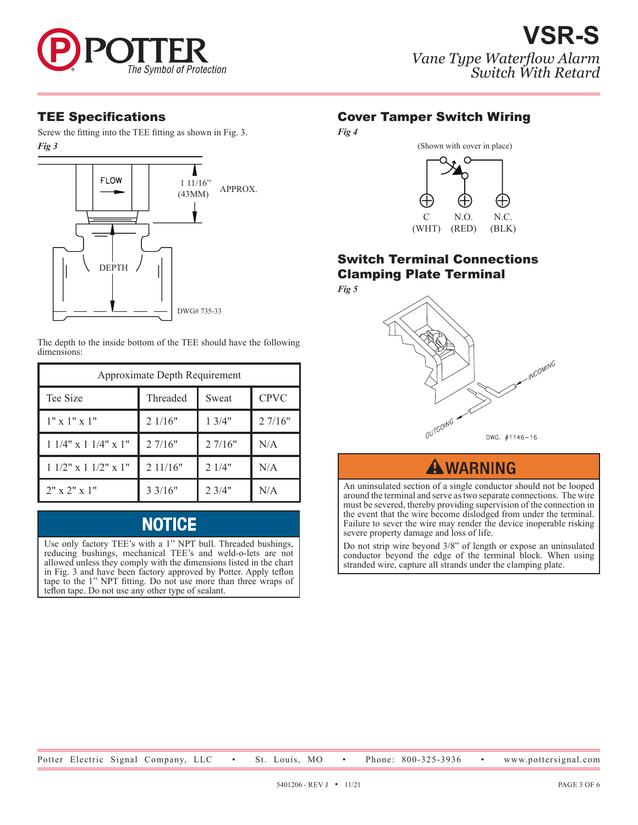

*Fig 3* Screw the fitting into the TEE fitting as shown in Fig. 3.



The depth to the inside bottom of the TEE should have the following dimensions:

| Approximate Depth Requirement |                    |        |             |  |
|-------------------------------|--------------------|--------|-------------|--|
| Tee Size                      | Threaded           | Sweat  | <b>CPVC</b> |  |
| $1" \times 1" \times 1"$      | 21/16"             | 13/4"  | 27/16"      |  |
| $11/4$ " x $11/4$ " x $1$ "   | 27/16"             | 27/16" | N/A         |  |
| $11/2$ " x $11/2$ " x $1$ "   | 2 11/16"           | 21/4"  | N/A         |  |
| $2" \times 2" \times 1"$      | $3 \frac{3}{16}$ " | 2.3/4" | N/A         |  |

## **NOTICE**

Use only factory TEE's with a 1" NPT bull. Threaded bushings, reducing bushings, mechanical TEE's and weld-o-lets are not allowed unless they comply with the dimensions listed in the chart in Fig. 3 and have been factory approved by Potter. Apply teflon tape to the 1" NPT fitting. Do not use more than three wraps of teflon tape. Do not use any other type of sealant.

## TEE Specifications Cover Tamper Switch Wiring

*Fig 4*



## Switch Terminal Connections Clamping Plate Terminal *Fig 5*



## **AWARNING**

An uninsulated section of a single conductor should not be looped around the terminal and serve as two separate connections. The wire must be severed, thereby providing supervision of the connection in the event that the wire become dislodged from under the terminal. Failure to sever the wire may render the device inoperable risking severe property damage and loss of life.

Do not strip wire beyond 3/8" of length or expose an uninsulated conductor beyond the edge of the terminal block. When using stranded wire, capture all strands under the clamping plate.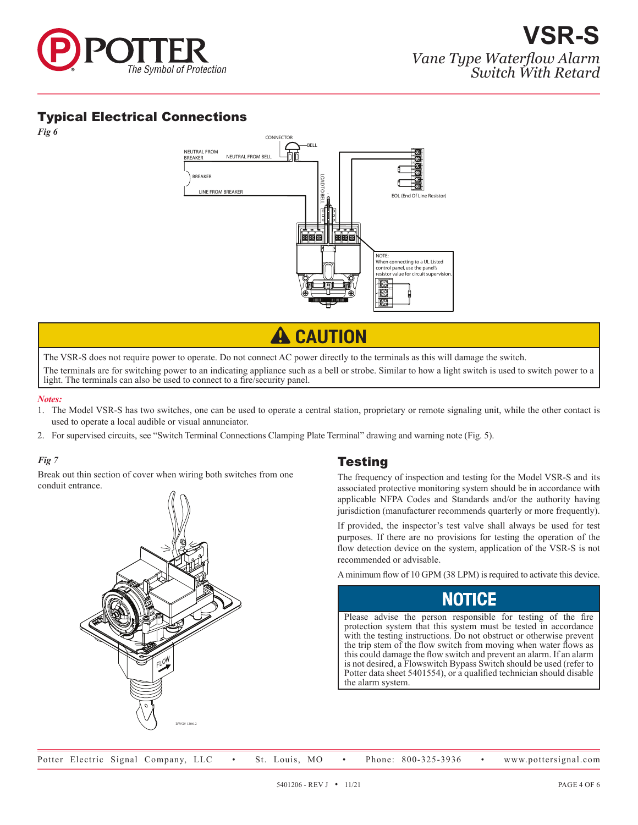

## Typical Electrical Connections

*Fig 6*



**A** CAUTION

The VSR-S does not require power to operate. Do not connect AC power directly to the terminals as this will damage the switch. The terminals are for switching power to an indicating appliance such as a bell or strobe. Similar to how a light switch is used to switch power to a light. The terminals can also be used to connect to a fire/security panel.

#### *Notes:*

- 1. The Model VSR-S has two switches, one can be used to operate a central station, proprietary or remote signaling unit, while the other contact is used to operate a local audible or visual annunciator.
- 2. For supervised circuits, see "Switch Terminal Connections Clamping Plate Terminal" drawing and warning note (Fig. 5).

#### *Fig 7*

Break out thin section of cover when wiring both switches from one conduit entrance.



#### Testing

The frequency of inspection and testing for the Model VSR-S and its associated protective monitoring system should be in accordance with applicable NFPA Codes and Standards and/or the authority having jurisdiction (manufacturer recommends quarterly or more frequently).

If provided, the inspector's test valve shall always be used for test purposes. If there are no provisions for testing the operation of the flow detection device on the system, application of the VSR-S is not recommended or advisable.

A minimum flow of 10 GPM (38 LPM) is required to activate this device.

Please advise the person responsible for testing of the fire protection system that this system must be tested in accordance with the testing instructions. Do not obstruct or otherwise prevent the trip stem of the flow switch from moving when water flows as this could damage the flow switch and prevent an alarm. If an alarm is not desired, a Flowswitch Bypass Switch should be used (refer to Potter data sheet 5401554), or a qualified technician should disable the alarm system.

Potter Electric Signal Company, LLC • St. Louis, MO • Phone: 800-325-3936 • www.pottersignal.com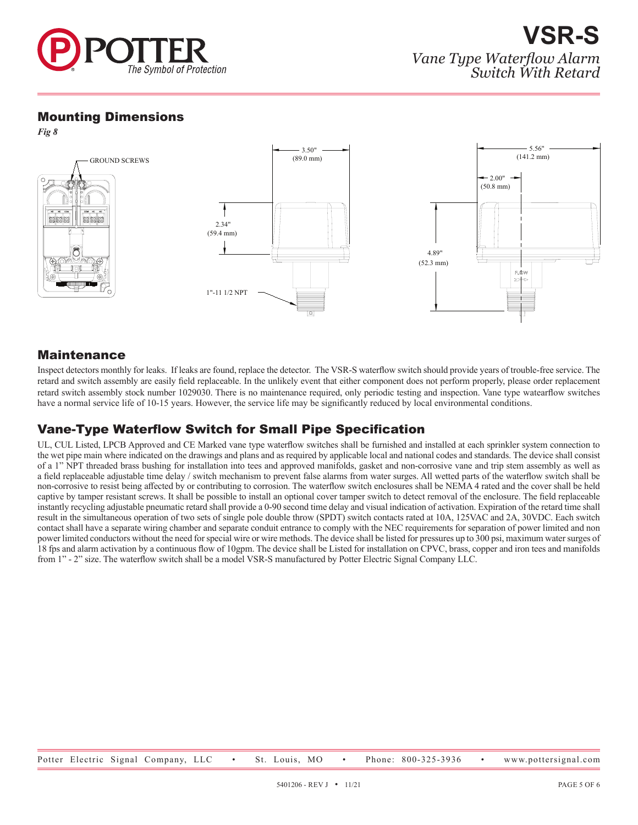

#### Mounting Dimensions

*Fig 8*



## Maintenance

Inspect detectors monthly for leaks. If leaks are found, replace the detector. The VSR-S waterflow switch should provide years of trouble-free service. The retard and switch assembly are easily field replaceable. In the unlikely event that either component does not perform properly, please order replacement retard switch assembly stock number 1029030. There is no maintenance required, only periodic testing and inspection. Vane type watearflow switches have a normal service life of 10-15 years. However, the service life may be significantly reduced by local environmental conditions.

## Vane-Type Waterflow Switch for Small Pipe Specification

UL, CUL Listed, LPCB Approved and CE Marked vane type waterflow switches shall be furnished and installed at each sprinkler system connection to the wet pipe main where indicated on the drawings and plans and as required by applicable local and national codes and standards. The device shall consist of a 1" NPT threaded brass bushing for installation into tees and approved manifolds, gasket and non-corrosive vane and trip stem assembly as well as a field replaceable adjustable time delay / switch mechanism to prevent false alarms from water surges. All wetted parts of the waterflow switch shall be non-corrosive to resist being affected by or contributing to corrosion. The waterflow switch enclosures shall be NEMA 4 rated and the cover shall be held captive by tamper resistant screws. It shall be possible to install an optional cover tamper switch to detect removal of the enclosure. The field replaceable instantly recycling adjustable pneumatic retard shall provide a 0-90 second time delay and visual indication of activation. Expiration of the retard time shall result in the simultaneous operation of two sets of single pole double throw (SPDT) switch contacts rated at 10A, 125VAC and 2A, 30VDC. Each switch contact shall have a separate wiring chamber and separate conduit entrance to comply with the NEC requirements for separation of power limited and non power limited conductors without the need for special wire or wire methods. The device shall be listed for pressures up to 300 psi, maximum water surges of 18 fps and alarm activation by a continuous flow of 10gpm. The device shall be Listed for installation on CPVC, brass, copper and iron tees and manifolds from 1" - 2" size. The waterflow switch shall be a model VSR-S manufactured by Potter Electric Signal Company LLC.